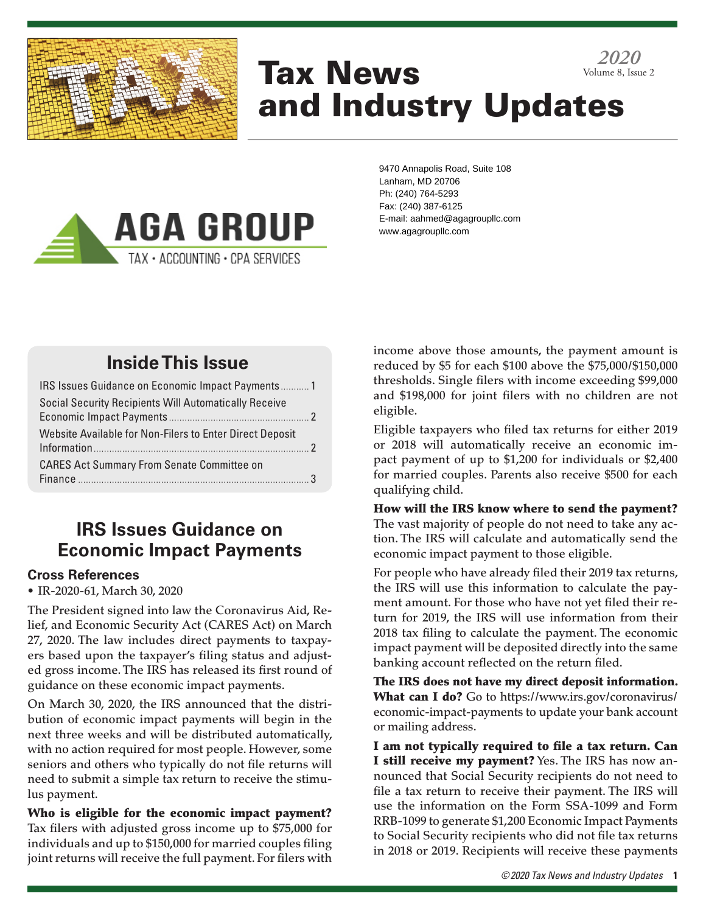

# Tax News and Industry Updates *2020* Volume 8, Issue 2



9470 Annapolis Road, Suite 108 Lanham, MD 20706 Ph: (240) 764-5293 Fax: (240) 387-6125 E-mail: aahmed@agagroupllc.com www.agagroupllc.com

# **Inside This Issue**

| IRS Issues Guidance on Economic Impact Payments 1                         |  |
|---------------------------------------------------------------------------|--|
| <b>Social Security Recipients Will Automatically Receive</b>              |  |
| Website Available for Non-Filers to Enter Direct Deposit<br>Information 2 |  |
| <b>CARES Act Summary From Senate Committee on</b>                         |  |

# **IRS Issues Guidance on Economic Impact Payments**

### **Cross References**

• IR-2020-61, March 30, 2020

The President signed into law the Coronavirus Aid, Relief, and Economic Security Act (CARES Act) on March 27, 2020. The law includes direct payments to taxpayers based upon the taxpayer's filing status and adjusted gross income. The IRS has released its first round of guidance on these economic impact payments.

On March 30, 2020, the IRS announced that the distribution of economic impact payments will begin in the next three weeks and will be distributed automatically, with no action required for most people. However, some seniors and others who typically do not file returns will need to submit a simple tax return to receive the stimulus payment.

Who is eligible for the economic impact payment? Tax filers with adjusted gross income up to \$75,000 for individuals and up to \$150,000 for married couples filing joint returns will receive the full payment. For filers with income above those amounts, the payment amount is reduced by \$5 for each \$100 above the \$75,000/\$150,000 thresholds. Single filers with income exceeding \$99,000 and \$198,000 for joint filers with no children are not eligible.

Eligible taxpayers who filed tax returns for either 2019 or 2018 will automatically receive an economic impact payment of up to \$1,200 for individuals or \$2,400 for married couples. Parents also receive \$500 for each qualifying child.

How will the IRS know where to send the payment? The vast majority of people do not need to take any action. The IRS will calculate and automatically send the economic impact payment to those eligible.

For people who have already filed their 2019 tax returns, the IRS will use this information to calculate the payment amount. For those who have not yet filed their return for 2019, the IRS will use information from their 2018 tax filing to calculate the payment. The economic impact payment will be deposited directly into the same banking account reflected on the return filed.

The IRS does not have my direct deposit information. What can I do? Go to https://www.irs.gov/coronavirus/ economic-impact-payments to update your bank account or mailing address.

I am not typically required to file a tax return. Can I still receive my payment? Yes. The IRS has now announced that Social Security recipients do not need to file a tax return to receive their payment. The IRS will use the information on the Form SSA-1099 and Form RRB-1099 to generate \$1,200 Economic Impact Payments to Social Security recipients who did not file tax returns in 2018 or 2019. Recipients will receive these payments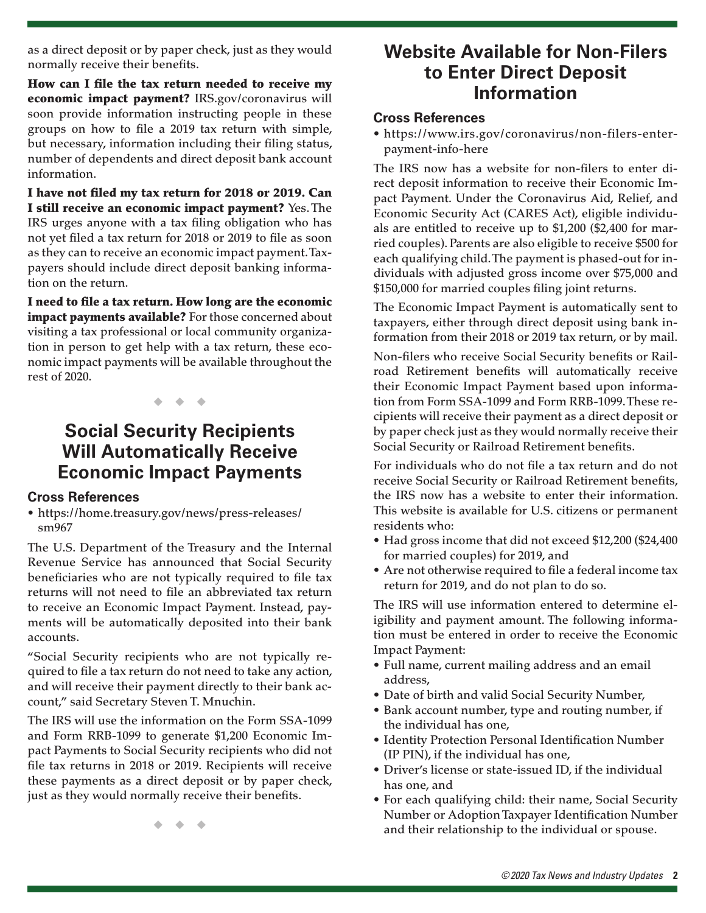as a direct deposit or by paper check, just as they would normally receive their benefits.

How can I file the tax return needed to receive my economic impact payment? IRS.gov/coronavirus will soon provide information instructing people in these groups on how to file a 2019 tax return with simple, but necessary, information including their filing status, number of dependents and direct deposit bank account information.

I have not filed my tax return for 2018 or 2019. Can I still receive an economic impact payment? Yes. The IRS urges anyone with a tax filing obligation who has not yet filed a tax return for 2018 or 2019 to file as soon as they can to receive an economic impact payment. Taxpayers should include direct deposit banking information on the return.

I need to file a tax return. How long are the economic impact payments available? For those concerned about visiting a tax professional or local community organization in person to get help with a tax return, these economic impact payments will be available throughout the rest of 2020.

◆ ◆ ◆

## **Social Security Recipients Will Automatically Receive Economic Impact Payments**

#### **Cross References**

• https://home.treasury.gov/news/press-releases/ sm967

The U.S. Department of the Treasury and the Internal Revenue Service has announced that Social Security beneficiaries who are not typically required to file tax returns will not need to file an abbreviated tax return to receive an Economic Impact Payment. Instead, payments will be automatically deposited into their bank accounts.

"Social Security recipients who are not typically required to file a tax return do not need to take any action, and will receive their payment directly to their bank account," said Secretary Steven T. Mnuchin.

The IRS will use the information on the Form SSA-1099 and Form RRB-1099 to generate \$1,200 Economic Impact Payments to Social Security recipients who did not file tax returns in 2018 or 2019. Recipients will receive these payments as a direct deposit or by paper check, just as they would normally receive their benefits.

**Website Available for Non‑Filers to Enter Direct Deposit Information**

#### **Cross References**

• https://www.irs.gov/coronavirus/non-filers-enterpayment-info-here

The IRS now has a website for non-filers to enter direct deposit information to receive their Economic Impact Payment. Under the Coronavirus Aid, Relief, and Economic Security Act (CARES Act), eligible individuals are entitled to receive up to \$1,200 (\$2,400 for married couples). Parents are also eligible to receive \$500 for each qualifying child. The payment is phased-out for individuals with adjusted gross income over \$75,000 and \$150,000 for married couples filing joint returns.

The Economic Impact Payment is automatically sent to taxpayers, either through direct deposit using bank information from their 2018 or 2019 tax return, or by mail.

Non-filers who receive Social Security benefits or Railroad Retirement benefits will automatically receive their Economic Impact Payment based upon information from Form SSA-1099 and Form RRB-1099. These recipients will receive their payment as a direct deposit or by paper check just as they would normally receive their Social Security or Railroad Retirement benefits.

For individuals who do not file a tax return and do not receive Social Security or Railroad Retirement benefits, the IRS now has a website to enter their information. This website is available for U.S. citizens or permanent residents who:

- Had gross income that did not exceed \$12,200 (\$24,400 for married couples) for 2019, and
- Are not otherwise required to file a federal income tax return for 2019, and do not plan to do so.

The IRS will use information entered to determine eligibility and payment amount. The following information must be entered in order to receive the Economic Impact Payment:

- Full name, current mailing address and an email address,
- Date of birth and valid Social Security Number,
- Bank account number, type and routing number, if the individual has one,
- Identity Protection Personal Identification Number (IP PIN), if the individual has one,
- Driver's license or state-issued ID, if the individual has one, and
- For each qualifying child: their name, Social Security Number or Adoption Taxpayer Identification Number and their relationship to the individual or spouse.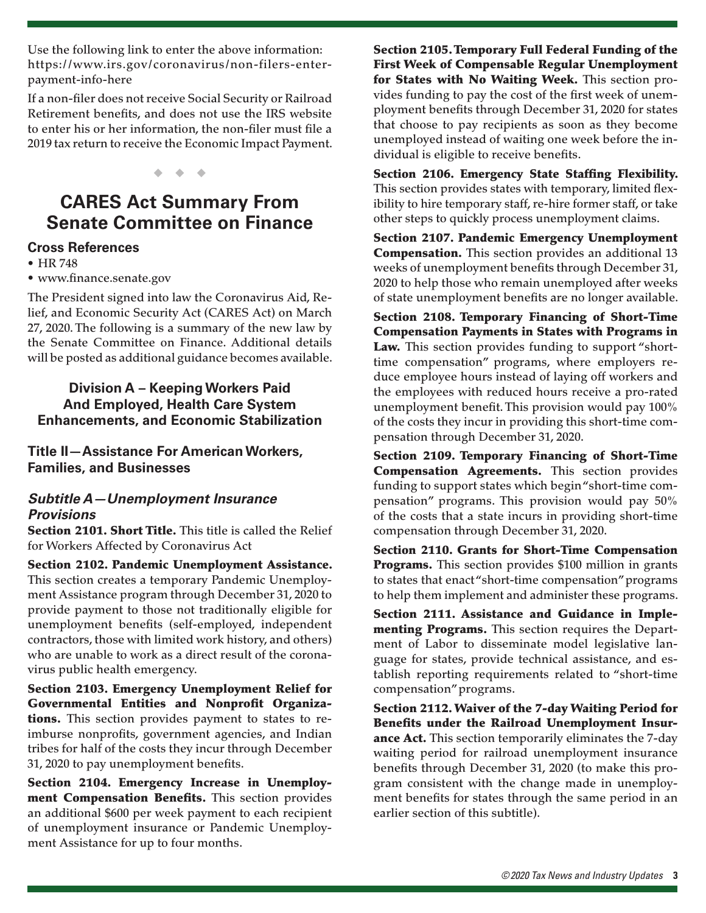Use the following link to enter the above information: https://www.irs.gov/coronavirus/non-filers-enterpayment-info-here

If a non-filer does not receive Social Security or Railroad Retirement benefits, and does not use the IRS website to enter his or her information, the non-filer must file a 2019 tax return to receive the Economic Impact Payment.

◆ ◆ ◆

# **CARES Act Summary From Senate Committee on Finance**

#### **Cross References**

• HR 748

• www.finance.senate.gov

The President signed into law the Coronavirus Aid, Relief, and Economic Security Act (CARES Act) on March 27, 2020. The following is a summary of the new law by the Senate Committee on Finance. Additional details will be posted as additional guidance becomes available.

### **Division A – Keeping Workers Paid And Employed, Health Care System Enhancements, and Economic Stabilization**

**Title II—Assistance For American Workers, Families, and Businesses** 

### *Subtitle A—Unemployment Insurance Provisions*

Section 2101. Short Title. This title is called the Relief for Workers Affected by Coronavirus Act

Section 2102. Pandemic Unemployment Assistance. This section creates a temporary Pandemic Unemployment Assistance program through December 31, 2020 to provide payment to those not traditionally eligible for unemployment benefits (self-employed, independent contractors, those with limited work history, and others) who are unable to work as a direct result of the coronavirus public health emergency.

Section 2103. Emergency Unemployment Relief for Governmental Entities and Nonprofit Organizations. This section provides payment to states to reimburse nonprofits, government agencies, and Indian tribes for half of the costs they incur through December 31, 2020 to pay unemployment benefits.

Section 2104. Emergency Increase in Unemployment Compensation Benefits. This section provides an additional \$600 per week payment to each recipient of unemployment insurance or Pandemic Unemployment Assistance for up to four months.

Section 2105. Temporary Full Federal Funding of the First Week of Compensable Regular Unemployment for States with No Waiting Week. This section provides funding to pay the cost of the first week of unemployment benefits through December 31, 2020 for states that choose to pay recipients as soon as they become unemployed instead of waiting one week before the individual is eligible to receive benefits.

Section 2106. Emergency State Staffing Flexibility. This section provides states with temporary, limited flexibility to hire temporary staff, re-hire former staff, or take other steps to quickly process unemployment claims.

Section 2107. Pandemic Emergency Unemployment Compensation. This section provides an additional 13 weeks of unemployment benefits through December 31, 2020 to help those who remain unemployed after weeks of state unemployment benefits are no longer available.

Section 2108. Temporary Financing of Short-Time Compensation Payments in States with Programs in Law. This section provides funding to support "shorttime compensation" programs, where employers reduce employee hours instead of laying off workers and the employees with reduced hours receive a pro-rated unemployment benefit. This provision would pay 100% of the costs they incur in providing this short-time compensation through December 31, 2020.

Section 2109. Temporary Financing of Short-Time Compensation Agreements. This section provides funding to support states which begin "short-time compensation" programs. This provision would pay 50% of the costs that a state incurs in providing short-time compensation through December 31, 2020.

Section 2110. Grants for Short-Time Compensation **Programs.** This section provides \$100 million in grants to states that enact "short-time compensation" programs to help them implement and administer these programs.

Section 2111. Assistance and Guidance in Implementing Programs. This section requires the Department of Labor to disseminate model legislative language for states, provide technical assistance, and establish reporting requirements related to "short-time compensation" programs.

Section 2112. Waiver of the 7-day Waiting Period for Benefits under the Railroad Unemployment Insurance Act. This section temporarily eliminates the 7-day waiting period for railroad unemployment insurance benefits through December 31, 2020 (to make this program consistent with the change made in unemployment benefits for states through the same period in an earlier section of this subtitle).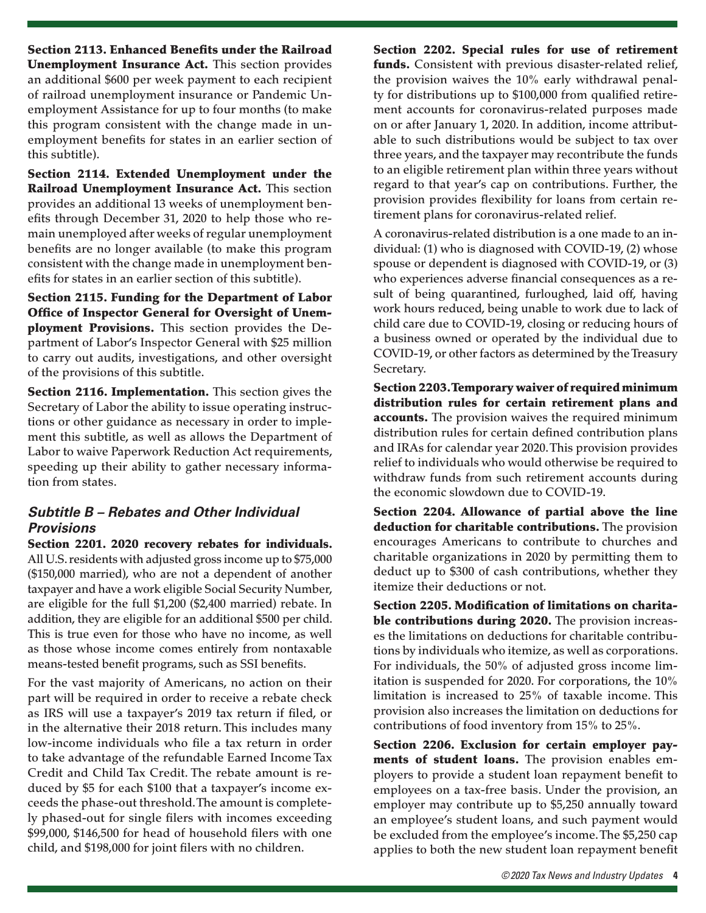Section 2113. Enhanced Benefits under the Railroad Unemployment Insurance Act. This section provides an additional \$600 per week payment to each recipient of railroad unemployment insurance or Pandemic Unemployment Assistance for up to four months (to make this program consistent with the change made in unemployment benefits for states in an earlier section of this subtitle).

Section 2114. Extended Unemployment under the Railroad Unemployment Insurance Act. This section provides an additional 13 weeks of unemployment benefits through December 31, 2020 to help those who remain unemployed after weeks of regular unemployment benefits are no longer available (to make this program consistent with the change made in unemployment benefits for states in an earlier section of this subtitle).

Section 2115. Funding for the Department of Labor Office of Inspector General for Oversight of Unemployment Provisions. This section provides the Department of Labor's Inspector General with \$25 million to carry out audits, investigations, and other oversight of the provisions of this subtitle.

Section 2116. Implementation. This section gives the Secretary of Labor the ability to issue operating instructions or other guidance as necessary in order to implement this subtitle, as well as allows the Department of Labor to waive Paperwork Reduction Act requirements, speeding up their ability to gather necessary information from states.

### *Subtitle B – Rebates and Other Individual Provisions*

Section 2201. 2020 recovery rebates for individuals. All U.S. residents with adjusted gross income up to \$75,000 (\$150,000 married), who are not a dependent of another taxpayer and have a work eligible Social Security Number, are eligible for the full \$1,200 (\$2,400 married) rebate. In addition, they are eligible for an additional \$500 per child. This is true even for those who have no income, as well as those whose income comes entirely from nontaxable means-tested benefit programs, such as SSI benefits.

For the vast majority of Americans, no action on their part will be required in order to receive a rebate check as IRS will use a taxpayer's 2019 tax return if filed, or in the alternative their 2018 return. This includes many low-income individuals who file a tax return in order to take advantage of the refundable Earned Income Tax Credit and Child Tax Credit. The rebate amount is reduced by \$5 for each \$100 that a taxpayer's income exceeds the phase-out threshold. The amount is completely phased-out for single filers with incomes exceeding \$99,000, \$146,500 for head of household filers with one child, and \$198,000 for joint filers with no children.

Section 2202. Special rules for use of retirement funds. Consistent with previous disaster-related relief, the provision waives the 10% early withdrawal penalty for distributions up to \$100,000 from qualified retirement accounts for coronavirus-related purposes made on or after January 1, 2020. In addition, income attributable to such distributions would be subject to tax over three years, and the taxpayer may recontribute the funds to an eligible retirement plan within three years without regard to that year's cap on contributions. Further, the provision provides flexibility for loans from certain retirement plans for coronavirus-related relief.

A coronavirus-related distribution is a one made to an individual: (1) who is diagnosed with COVID-19, (2) whose spouse or dependent is diagnosed with COVID-19, or (3) who experiences adverse financial consequences as a result of being quarantined, furloughed, laid off, having work hours reduced, being unable to work due to lack of child care due to COVID-19, closing or reducing hours of a business owned or operated by the individual due to COVID-19, or other factors as determined by the Treasury Secretary.

Section 2203. Temporary waiver of required minimum distribution rules for certain retirement plans and accounts. The provision waives the required minimum distribution rules for certain defined contribution plans and IRAs for calendar year 2020. This provision provides relief to individuals who would otherwise be required to withdraw funds from such retirement accounts during the economic slowdown due to COVID-19.

Section 2204. Allowance of partial above the line deduction for charitable contributions. The provision encourages Americans to contribute to churches and charitable organizations in 2020 by permitting them to deduct up to \$300 of cash contributions, whether they itemize their deductions or not.

Section 2205. Modification of limitations on charitable contributions during 2020. The provision increases the limitations on deductions for charitable contributions by individuals who itemize, as well as corporations. For individuals, the 50% of adjusted gross income limitation is suspended for 2020. For corporations, the 10% limitation is increased to 25% of taxable income. This provision also increases the limitation on deductions for contributions of food inventory from 15% to 25%.

Section 2206. Exclusion for certain employer payments of student loans. The provision enables employers to provide a student loan repayment benefit to employees on a tax-free basis. Under the provision, an employer may contribute up to \$5,250 annually toward an employee's student loans, and such payment would be excluded from the employee's income. The \$5,250 cap applies to both the new student loan repayment benefit